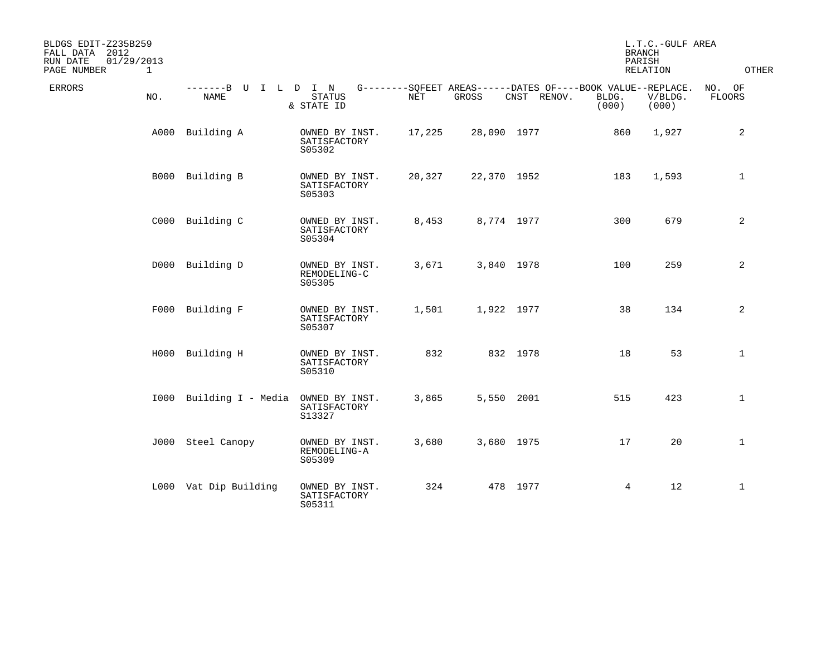| BLDGS EDIT-Z235B259<br>FALL DATA 2012<br>01/29/2013<br>RUN DATE<br>PAGE NUMBER | $\mathbf 1$ |                                     |                                          |        |             |             | <b>BRANCH</b><br>PARISH                                                       | L.T.C.-GULF AREA<br>RELATION | OTHER                   |
|--------------------------------------------------------------------------------|-------------|-------------------------------------|------------------------------------------|--------|-------------|-------------|-------------------------------------------------------------------------------|------------------------------|-------------------------|
| <b>ERRORS</b>                                                                  | NO.         | -------B U I L D I N<br><b>NAME</b> | <b>STATUS</b><br>& STATE ID              | NET    | GROSS       | CNST RENOV. | G--------SQFEET AREAS------DATES OF----BOOK VALUE--REPLACE.<br>BLDG.<br>(000) | V/BLDG.<br>(000)             | NO. OF<br><b>FLOORS</b> |
|                                                                                | A000        | Building A                          | OWNED BY INST.<br>SATISFACTORY<br>S05302 | 17,225 | 28,090 1977 |             | 860                                                                           | 1,927                        | 2                       |
|                                                                                |             | B000 Building B                     | OWNED BY INST.<br>SATISFACTORY<br>S05303 | 20,327 | 22,370 1952 |             | 183                                                                           | 1,593                        | $\mathbf{1}$            |
|                                                                                |             | C000 Building C                     | OWNED BY INST.<br>SATISFACTORY<br>S05304 | 8,453  | 8,774 1977  |             | 300                                                                           | 679                          | 2                       |
|                                                                                |             | D000 Building D                     | OWNED BY INST.<br>REMODELING-C<br>S05305 | 3,671  | 3,840 1978  |             | 100                                                                           | 259                          | 2                       |
|                                                                                |             | F000 Building F                     | OWNED BY INST.<br>SATISFACTORY<br>S05307 | 1,501  | 1,922 1977  |             | 38                                                                            | 134                          | 2                       |
|                                                                                |             | H000 Building H                     | OWNED BY INST.<br>SATISFACTORY<br>S05310 | 832    |             | 832 1978    | 18                                                                            | 53                           | $\mathbf 1$             |
|                                                                                |             | 1000 Building I - Media             | OWNED BY INST.<br>SATISFACTORY<br>S13327 | 3,865  | 5,550 2001  |             | 515                                                                           | 423                          | $\mathbf{1}$            |
|                                                                                |             | J000 Steel Canopy                   | OWNED BY INST.<br>REMODELING-A<br>S05309 | 3,680  | 3,680 1975  |             | 17                                                                            | 20                           | $\mathbf{1}$            |
|                                                                                |             | L000 Vat Dip Building               | OWNED BY INST.<br>SATISFACTORY<br>S05311 | 324    |             | 478 1977    | $\overline{4}$                                                                | 12                           | $\mathbf{1}$            |